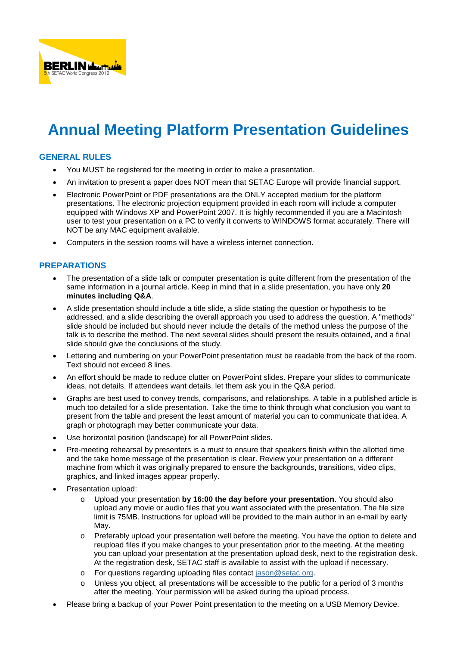

# **Annual Meeting Platform Presentation Guidelines**

## **GENERAL RULES**

- You MUST be registered for the meeting in order to make a presentation.
- An invitation to present a paper does NOT mean that SETAC Europe will provide financial support.
- Electronic PowerPoint or PDF presentations are the ONLY accepted medium for the platform presentations. The electronic projection equipment provided in each room will include a computer equipped with Windows XP and PowerPoint 2007. It is highly recommended if you are a Macintosh user to test your presentation on a PC to verify it converts to WINDOWS format accurately. There will NOT be any MAC equipment available.
- Computers in the session rooms will have a wireless internet connection.

## **PREPARATIONS**

- The presentation of a slide talk or computer presentation is quite different from the presentation of the same information in a journal article. Keep in mind that in a slide presentation, you have only **20 minutes including Q&A**.
- A slide presentation should include a title slide, a slide stating the question or hypothesis to be addressed, and a slide describing the overall approach you used to address the question. A "methods" slide should be included but should never include the details of the method unless the purpose of the talk is to describe the method. The next several slides should present the results obtained, and a final slide should give the conclusions of the study.
- Lettering and numbering on your PowerPoint presentation must be readable from the back of the room. Text should not exceed 8 lines.
- An effort should be made to reduce clutter on PowerPoint slides. Prepare your slides to communicate ideas, not details. If attendees want details, let them ask you in the Q&A period.
- Graphs are best used to convey trends, comparisons, and relationships. A table in a published article is much too detailed for a slide presentation. Take the time to think through what conclusion you want to present from the table and present the least amount of material you can to communicate that idea. A graph or photograph may better communicate your data.
- Use horizontal position (landscape) for all PowerPoint slides.
- Pre-meeting rehearsal by presenters is a must to ensure that speakers finish within the allotted time and the take home message of the presentation is clear. Review your presentation on a different machine from which it was originally prepared to ensure the backgrounds, transitions, video clips, graphics, and linked images appear properly.
- Presentation upload:
	- o Upload your presentation **by 16:00 the day before your presentation**. You should also upload any movie or audio files that you want associated with the presentation. The file size limit is 75MB. Instructions for upload will be provided to the main author in an e-mail by early May.
	- o Preferably upload your presentation well before the meeting. You have the option to delete and reupload files if you make changes to your presentation prior to the meeting. At the meeting you can upload your presentation at the presentation upload desk, next to the registration desk. At the registration desk, SETAC staff is available to assist with the upload if necessary.
	- o For questions regarding uploading files contact [jason@setac.org.](mailto:jason@setac.org)
	- Unless you object, all presentations will be accessible to the public for a period of 3 months after the meeting. Your permission will be asked during the upload process.
- Please bring a backup of your Power Point presentation to the meeting on a USB Memory Device.